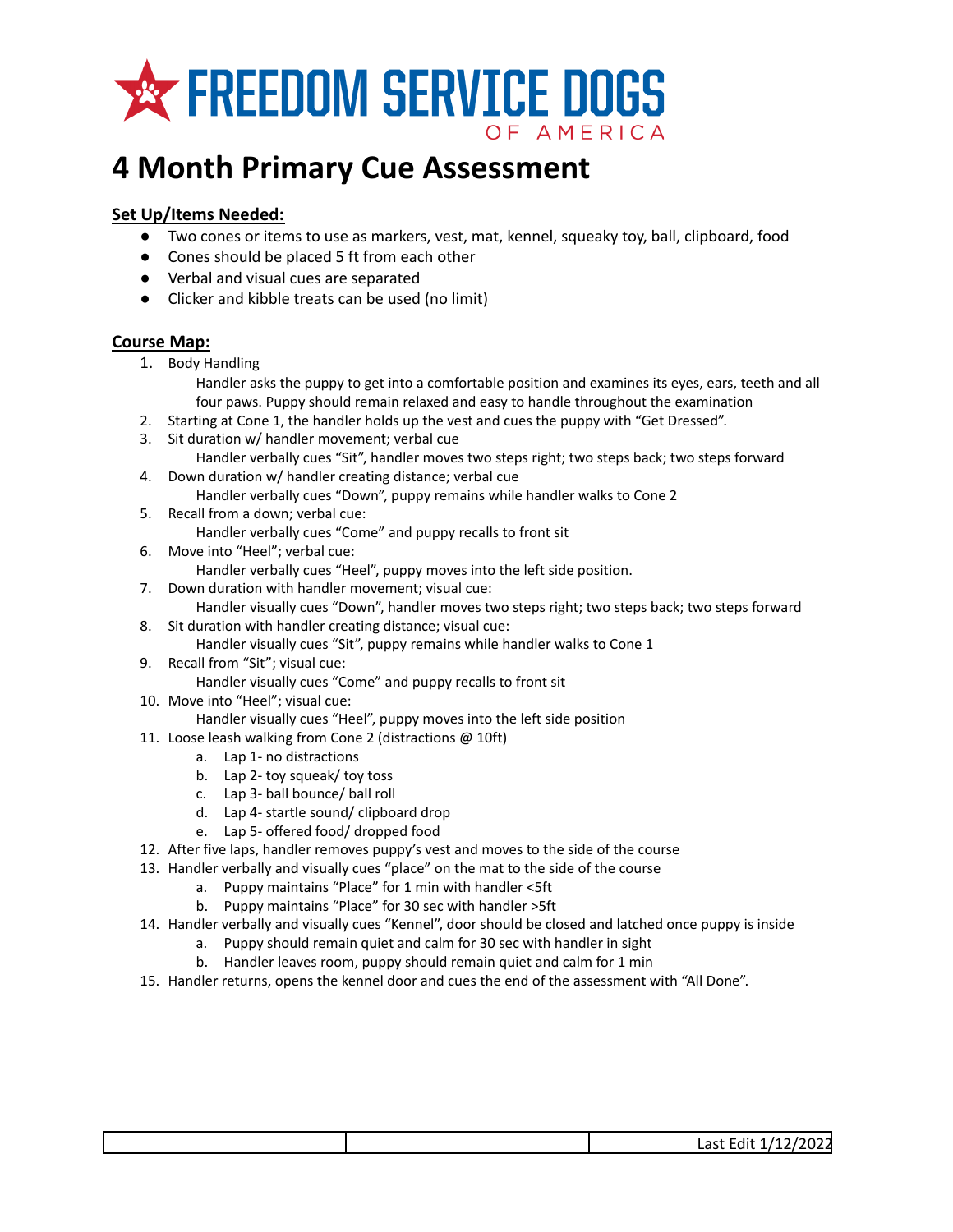

## **4 Month Primary Cue Assessment**

## **Set Up/Items Needed:**

- Two cones or items to use as markers, vest, mat, kennel, squeaky toy, ball, clipboard, food
- Cones should be placed 5 ft from each other
- Verbal and visual cues are separated
- Clicker and kibble treats can be used (no limit)

## **Course Map:**

- 1. Body Handling
	- Handler asks the puppy to get into a comfortable position and examines its eyes, ears, teeth and all four paws. Puppy should remain relaxed and easy to handle throughout the examination
- 2. Starting at Cone 1, the handler holds up the vest and cues the puppy with "Get Dressed".
- 3. Sit duration w/ handler movement; verbal cue Handler verbally cues "Sit", handler moves two steps right; two steps back; two steps forward
- 4. Down duration w/ handler creating distance; verbal cue Handler verbally cues "Down", puppy remains while handler walks to Cone 2
- 5. Recall from a down; verbal cue: Handler verbally cues "Come" and puppy recalls to front sit
- 6. Move into "Heel"; verbal cue:
	- Handler verbally cues "Heel", puppy moves into the left side position.
- 7. Down duration with handler movement; visual cue:
	- Handler visually cues "Down", handler moves two steps right; two steps back; two steps forward
- 8. Sit duration with handler creating distance; visual cue:
	- Handler visually cues "Sit", puppy remains while handler walks to Cone 1
- 9. Recall from "Sit"; visual cue: Handler visually cues "Come" and puppy recalls to front sit
- 10. Move into "Heel"; visual cue:
	- Handler visually cues "Heel", puppy moves into the left side position
- 11. Loose leash walking from Cone 2 (distractions @ 10ft)
	- a. Lap 1- no distractions
	- b. Lap 2- toy squeak/ toy toss
	- c. Lap 3- ball bounce/ ball roll
	- d. Lap 4- startle sound/ clipboard drop
	- e. Lap 5- offered food/ dropped food
- 12. After five laps, handler removes puppy's vest and moves to the side of the course
- 13. Handler verbally and visually cues "place" on the mat to the side of the course
	- a. Puppy maintains "Place" for 1 min with handler <5ft
	- b. Puppy maintains "Place" for 30 sec with handler >5ft
- 14. Handler verbally and visually cues "Kennel", door should be closed and latched once puppy is inside
	- a. Puppy should remain quiet and calm for 30 sec with handler in sight
	- b. Handler leaves room, puppy should remain quiet and calm for 1 min
- 15. Handler returns, opens the kennel door and cues the end of the assessment with "All Done".

|  | $\sim$ $\sim$<br>r 1:1<br>$\sim$ + I<br>$\overline{\phantom{a}}$<br>72024<br>Last Luit<br>-- |
|--|----------------------------------------------------------------------------------------------|
|  |                                                                                              |